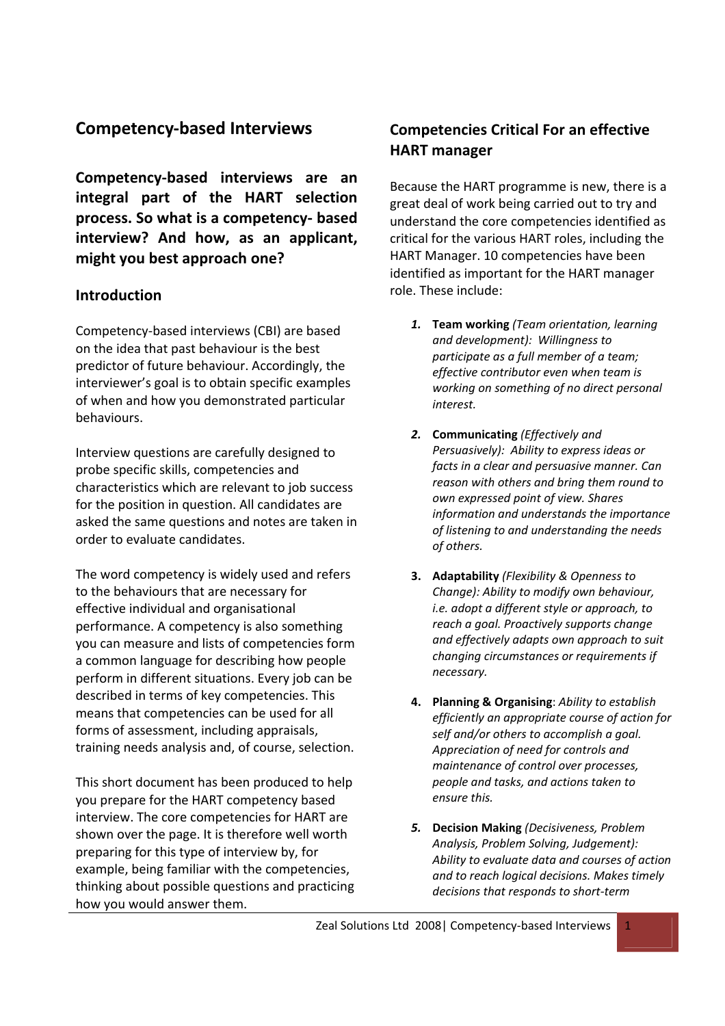# **Competency‐based Interviews**

**Competency‐based interviews are an integral part of the HART selection process. So what is a competency‐ based interview? And how, as an applicant, might you best approach one?** 

## **Introduction**

Competency‐based interviews (CBI) are based on the idea that past behaviour is the best predictor of future behaviour. Accordingly, the interviewer's goal is to obtain specific examples of when and how you demonstrated particular behaviours.

Interview questions are carefully designed to probe specific skills, competencies and characteristics which are relevant to job success for the position in question. All candidates are asked the same questions and notes are taken in order to evaluate candidates.

The word competency is widely used and refers to the behaviours that are necessary for effective individual and organisational performance. A competency is also something you can measure and lists of competencies form a common language for describing how people perform in different situations. Every job can be described in terms of key competencies. This means that competencies can be used for all forms of assessment, including appraisals, training needs analysis and, of course, selection.

This short document has been produced to help you prepare for the HART competency based interview. The core competencies for HART are shown over the page. It is therefore well worth preparing for this type of interview by, for example, being familiar with the competencies, thinking about possible questions and practicing how you would answer them.

# **Competencies Critical For an effective HART manager**

Because the HART programme is new, there is a great deal of work being carried out to try and understand the core competencies identified as critical for the various HART roles, including the HART Manager. 10 competencies have been identified as important for the HART manager role. These include:

- *1.* **Team working** *(Team orientation, learning and development): Willingness to participate as a full member of a team; effective contributor even when team is working on something of no direct personal interest.*
- *2.* **Communicating** *(Effectively and Persuasively): Ability to express ideas or facts in a clear and persuasive manner. Can reason with others and bring them round to own expressed point of view. Shares information and understands the importance of listening to and understanding the needs of others.*
- **3. Adaptability** *(Flexibility & Openness to Change): Ability to modify own behaviour, i.e. adopt a different style or approach, to reach a goal. Proactively supports change and effectively adapts own approach to suit changing circumstances or requirements if necessary.*
- **4. Planning & Organising**: *Ability to establish efficiently an appropriate course of action for self and/or others to accomplish a goal. Appreciation of need for controls and maintenance of control over processes, people and tasks, and actions taken to ensure this.*
- *5.* **Decision Making** *(Decisiveness, Problem Analysis, Problem Solving, Judgement): Ability to evaluate data and courses of action and to reach logical decisions. Makes timely decisions that responds to short‐term*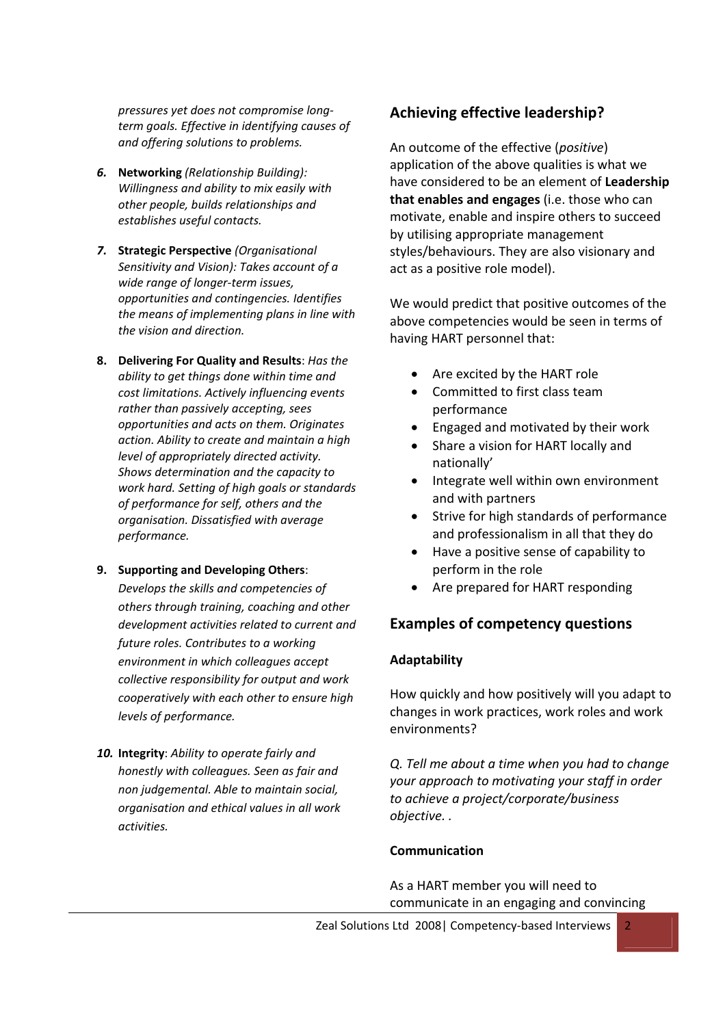*pressures yet does not compromise long‐ term goals. Effective in identifying causes of and offering solutions to problems.*

- *6.* **Networking** *(Relationship Building): Willingness and ability to mix easily with other people, builds relationships and establishes useful contacts.*
- *7.* **Strategic Perspective** *(Organisational Sensitivity and Vision): Takes account of a wide range of longer‐term issues, opportunities and contingencies. Identifies the means of implementing plans in line with the vision and direction.*
- **8. Delivering For Quality and Results**: *Has the ability to get things done within time and cost limitations. Actively influencing events rather than passively accepting, sees opportunities and acts on them. Originates action. Ability to create and maintain a high level of appropriately directed activity. Shows determination and the capacity to work hard. Setting of high goals or standards of performance for self, others and the organisation. Dissatisfied with average performance.*
- **9. Supporting and Developing Others**:

*Develops the skills and competencies of others through training, coaching and other development activities related to current and future roles. Contributes to a working environment in which colleagues accept collective responsibility for output and work cooperatively with each other to ensure high levels of performance.*

*10.* **Integrity**: *Ability to operate fairly and honestly with colleagues. Seen as fair and non judgemental. Able to maintain social, organisation and ethical values in all work activities.*

## **Achieving effective leadership?**

An outcome of the effective (*positive*) application of the above qualities is what we have considered to be an element of **Leadership that enables and engages** (i.e. those who can motivate, enable and inspire others to succeed by utilising appropriate management styles/behaviours. They are also visionary and act as a positive role model).

We would predict that positive outcomes of the above competencies would be seen in terms of having HART personnel that:

- Are excited by the HART role
- Committed to first class team performance
- Engaged and motivated by their work
- Share a vision for HART locally and nationally'
- Integrate well within own environment and with partners
- Strive for high standards of performance and professionalism in all that they do
- Have a positive sense of capability to perform in the role
- Are prepared for HART responding

## **Examples of competency questions**

## **Adaptability**

How quickly and how positively will you adapt to changes in work practices, work roles and work environments?

*Q. Tell me about a time when you had to change your approach to motivating your staff in order to achieve a project/corporate/business objective. .*

#### **Communication**

As a HART member you will need to communicate in an engaging and convincing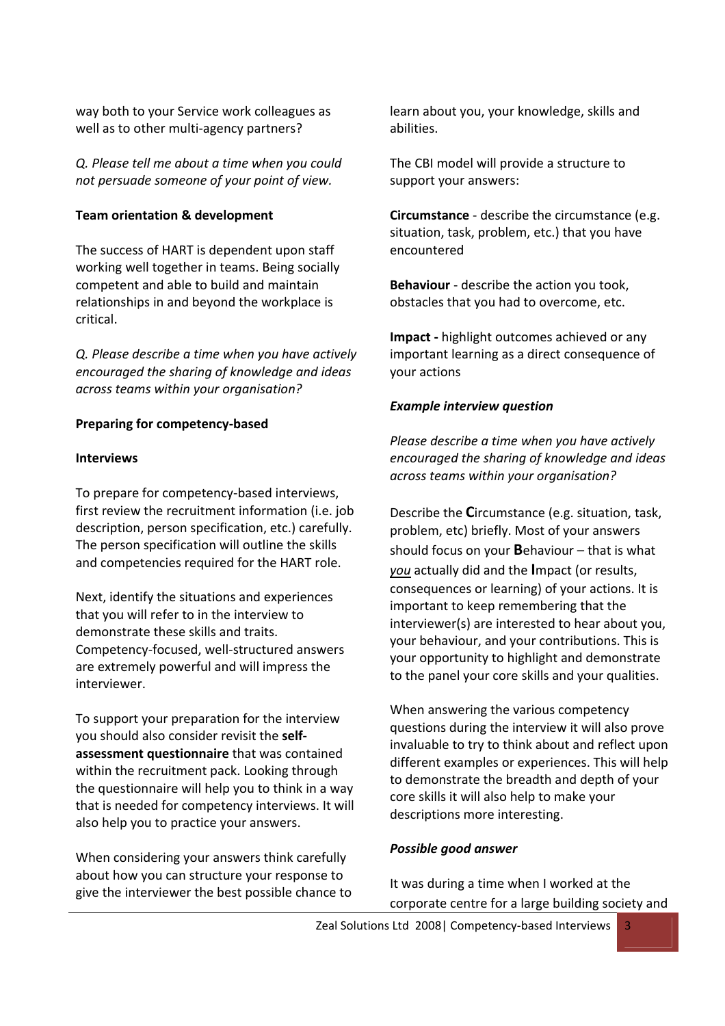way both to your Service work colleagues as well as to other multi-agency partners?

*Q. Please tell me about a time when you could not persuade someone of your point of view.* 

## **Team orientation & development**

The success of HART is dependent upon staff working well together in teams. Being socially competent and able to build and maintain relationships in and beyond the workplace is critical.

*Q. Please describe a time when you have actively encouraged the sharing of knowledge and ideas across teams within your organisation?*

## **Preparing for competency‐based**

## **Interviews**

To prepare for competency‐based interviews, first review the recruitment information (i.e. job description, person specification, etc.) carefully. The person specification will outline the skills and competencies required for the HART role.

Next, identify the situations and experiences that you will refer to in the interview to demonstrate these skills and traits. Competency‐focused, well‐structured answers are extremely powerful and will impress the interviewer.

To support your preparation for the interview you should also consider revisit the **self‐ assessment questionnaire** that was contained within the recruitment pack. Looking through the questionnaire will help you to think in a way that is needed for competency interviews. It will also help you to practice your answers.

When considering your answers think carefully about how you can structure your response to give the interviewer the best possible chance to learn about you, your knowledge, skills and abilities.

The CBI model will provide a structure to support your answers:

**Circumstance** ‐ describe the circumstance (e.g. situation, task, problem, etc.) that you have encountered

**Behaviour** ‐ describe the action you took, obstacles that you had to overcome, etc.

**Impact ‐** highlight outcomes achieved or any important learning as a direct consequence of your actions

## *Example interview question*

*Please describe a time when you have actively encouraged the sharing of knowledge and ideas across teams within your organisation?*

Describe the **C**ircumstance (e.g. situation, task, problem, etc) briefly. Most of your answers should focus on your **B**ehaviour – that is what *you* actually did and the **I**mpact (or results, consequences or learning) of your actions. It is important to keep remembering that the interviewer(s) are interested to hear about you, your behaviour, and your contributions. This is your opportunity to highlight and demonstrate to the panel your core skills and your qualities.

When answering the various competency questions during the interview it will also prove invaluable to try to think about and reflect upon different examples or experiences. This will help to demonstrate the breadth and depth of your core skills it will also help to make your descriptions more interesting.

## *Possible good answer*

It was during a time when I worked at the corporate centre for a large building society and